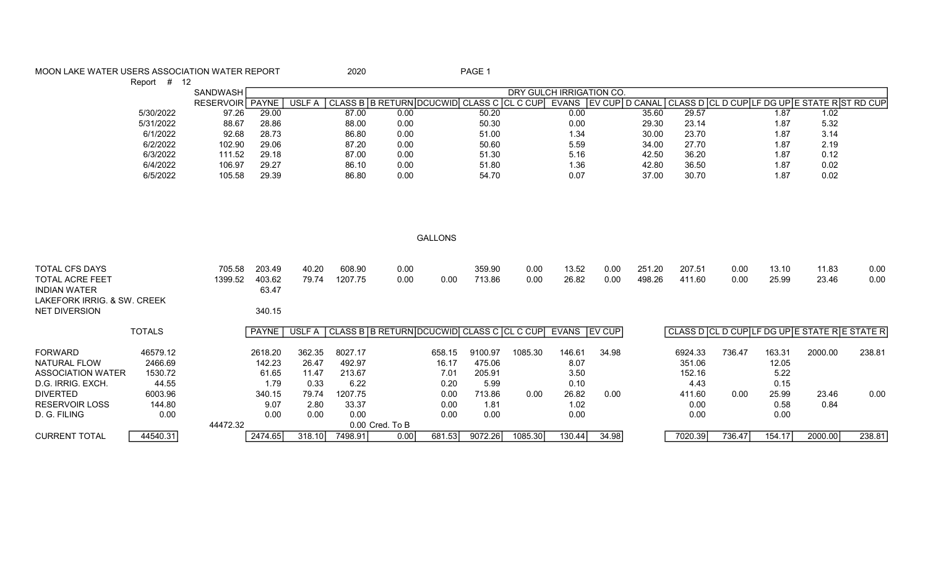## MOON LAKE WATER USERS ASSOCIATION WATER REPORT 2020 2020

Report # 12

|           | SANDWASH         |              |             |       |                             |              | DRY GULCH IRRIGATION CO. |              |        |                   |               |       |                                      |
|-----------|------------------|--------------|-------------|-------|-----------------------------|--------------|--------------------------|--------------|--------|-------------------|---------------|-------|--------------------------------------|
|           | <b>RESERVOIR</b> | <b>PAYNE</b> | USLI<br>- А |       | LASS B I B RETURN IDCUCWIDI | CLASS C CL C | $\sim$ $\sim$ $\sim$     | <b>EVANS</b> | . ∪UP⊑ | CANAL <sup></sup> | l CLASS D ICL |       | L D CUP LF DG UP E STATE R ST RD CUP |
| 5/30/2022 | 97.26            | 29.00        |             | 87.00 | 0.00                        | 50.20        |                          | 0.00         |        | 35.60             | 29.57         | 87    | 1.02                                 |
| 5/31/2022 | 88.67            | 28.86        |             | 88.00 | 0.00                        | 50.30        |                          | 0.00         |        | 29.30             | 23.14         | .87   | 5.32                                 |
| 6/1/2022  | 92.68            | 28.73        |             | 86.80 | 0.00                        | 51.00        |                          | .34          |        | 30.00             | 23.70         | 87. ا | 3.14                                 |
| 6/2/2022  | 102.90           | 29.06        |             | 87.20 | 0.00                        | 50.60        |                          | 5.59         |        | 34.00             | 27.70         | 1.87  | 2.19                                 |
| 6/3/2022  | 111.52           | 29.18        |             | 87.00 | 0.00                        | 51.30        |                          | 5.16         |        | 42.50             | 36.20         | .87   | 0.12                                 |
| 6/4/2022  | 106.97           | 29.27        |             | 86.10 | 0.00                        | 51.80        |                          | 1.36         |        | 42.80             | 36.50         | i.87  | 0.02                                 |
| 6/5/2022  | 105.58           | 29.39        |             | 86.80 | 0.00                        | 54.70        |                          | 0.07         |        | 37.00             | 30.70         | i.87  | 0.02                                 |

GALLONS

| <b>TOTAL CFS DAYS</b><br><b>TOTAL ACRE FEET</b><br><b>INDIAN WATER</b><br>LAKEFORK IRRIG. & SW. CREEK<br>NET DIVERSION |               | 705.58<br>1399.52 | 203.49<br>403.62<br>63.47<br>340.15 | 40.20<br>79.74 | 608.90<br>1207.75 | 0.00<br>0.00                                     | 0.00   | 359.90<br>713.86 | 0.00<br>0.00 | 13.52<br>26.82 | 0.00<br>0.00 | 251.20<br>498.26 | 207.51<br>411.60 | 0.00<br>0.00 | 13.10<br>25.99 | 11.83<br>23.46                              | 0.00<br>0.00 |
|------------------------------------------------------------------------------------------------------------------------|---------------|-------------------|-------------------------------------|----------------|-------------------|--------------------------------------------------|--------|------------------|--------------|----------------|--------------|------------------|------------------|--------------|----------------|---------------------------------------------|--------------|
|                                                                                                                        | <b>TOTALS</b> |                   | l PAYNE                             |                |                   | USLF A CLASS B B RETURN DCUCWID CLASS C CL C CUP |        |                  |              | EVANS          | I EV CUPI    |                  |                  |              |                | CLASS D CL D CUPLF DG UPLE STATE RE STATE R |              |
| <b>FORWARD</b>                                                                                                         | 46579.12      |                   | 2618.20                             | 362.35         | 8027.17           |                                                  | 658.15 | 9100.97          | 1085.30      | 146.61         | 34.98        |                  | 6924.33          | 736.47       | 163.31         | 2000.00                                     | 238.81       |
| NATURAL FLOW                                                                                                           | 2466.69       |                   | 142.23                              | 26.47          | 492.97            |                                                  | 16.17  | 475.06           |              | 8.07           |              |                  | 351.06           |              | 12.05          |                                             |              |
| <b>ASSOCIATION WATER</b>                                                                                               | 1530.72       |                   | 61.65                               | 11.47          | 213.67            |                                                  | 7.01   | 205.91           |              | 3.50           |              |                  | 152.16           |              | 5.22           |                                             |              |
| D.G. IRRIG. EXCH.                                                                                                      | 44.55         |                   | 1.79                                | 0.33           | 6.22              |                                                  | 0.20   | 5.99             |              | 0.10           |              |                  | 4.43             |              | 0.15           |                                             |              |
| <b>DIVERTED</b>                                                                                                        | 6003.96       |                   | 340.15                              | 79.74          | 1207.75           |                                                  | 0.00   | 713.86           | 0.00         | 26.82          | 0.00         |                  | 411.60           | 0.00         | 25.99          | 23.46                                       | 0.00         |
| <b>RESERVOIR LOSS</b>                                                                                                  | 144.80        |                   | 9.07                                | 2.80           | 33.37             |                                                  | 0.00   | 1.81             |              | 1.02           |              |                  | 0.00             |              | 0.58           | 0.84                                        |              |
| D. G. FILING                                                                                                           | 0.00          |                   | 0.00                                | 0.00           | 0.00              |                                                  | 0.00   | 0.00             |              | 0.00           |              |                  | 0.00             |              | 0.00           |                                             |              |
|                                                                                                                        |               | 44472.32          |                                     |                |                   | 0.00 Cred. To B                                  |        |                  |              |                |              |                  |                  |              |                |                                             |              |
| <b>CURRENT TOTAL</b>                                                                                                   | 44540.31      |                   | 2474.65                             | 318.10         | 7498.91           | 0.00                                             | 681.53 | 9072.26          | 1085.30      | 130.44         | 34.98        |                  | 7020.39          | 736.47       | 154.17         | 2000.00                                     | 238.81       |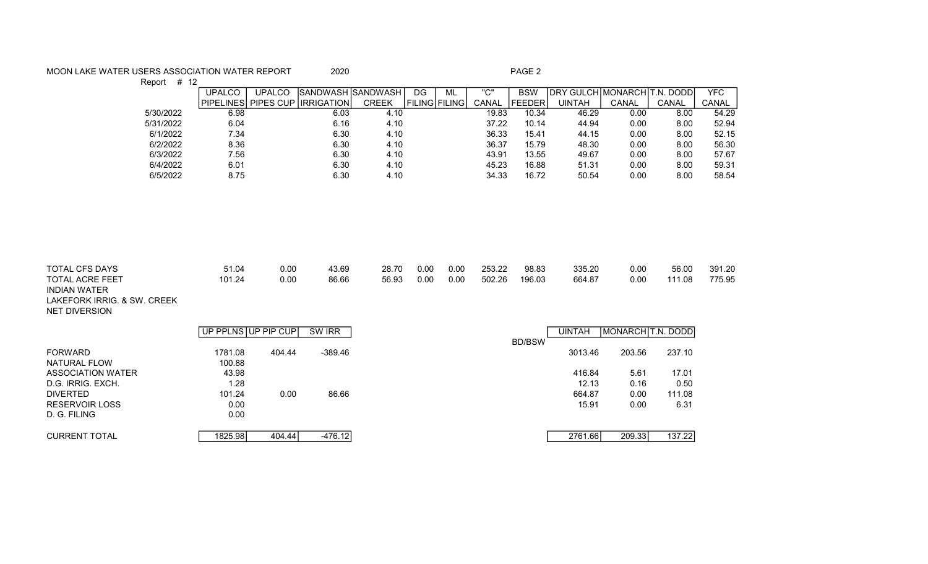## MOON LAKE WATER USERS ASSOCIATION WATER REPORT 2020 2020

Report # 12

|           | UPALCO           | UPALCO | ISANDWASH ISANDWASH   |       | DG | ML            | "C"   | <b>BSW</b>    | DRY GULCHIMONARCHIT.N. DODDI |       |       | <b>YFC</b>   |
|-----------|------------------|--------|-----------------------|-------|----|---------------|-------|---------------|------------------------------|-------|-------|--------------|
|           | <b>PIPELINES</b> |        | PIPES CUP LIRRIGATION | CREEK |    | FILING FILING | CANAL | <b>FEEDER</b> | UINTAH                       | CANAL | CANAL | <b>CANAL</b> |
| 5/30/2022 | 6.98             |        | 6.03                  | 4.10  |    |               | 19.83 | 10.34         | 46.29                        | 0.00  | 8.00  | 54.29        |
| 5/31/2022 | 6.04             |        | 6.16                  | 4.10  |    |               | 37.22 | 10.14         | 44.94                        | 0.00  | 8.00  | 52.94        |
| 6/1/2022  | 7.34             |        | 6.30                  | 4.10  |    |               | 36.33 | 15.41         | 44.15                        | 0.00  | 8.00  | 52.15        |
| 6/2/2022  | 8.36             |        | 6.30                  | 4.10  |    |               | 36.37 | 15.79         | 48.30                        | 0.00  | 8.00  | 56.30        |
| 6/3/2022  | 7.56             |        | 6.30                  | 4.10  |    |               | 43.91 | 13.55         | 49.67                        | 0.00  | 8.00  | 57.67        |
| 6/4/2022  | 6.01             |        | 6.30                  | 4.10  |    |               | 45.23 | 16.88         | 51.31                        | 0.00  | 8.00  | 59.31        |
| 6/5/2022  | 8.75             |        | 6.30                  | 4.10  |    |               | 34.33 | 16.72         | 50.54                        | 0.00  | 8.00  | 58.54        |
|           |                  |        |                       |       |    |               |       |               |                              |       |       |              |

| <b>TOTAL CFS DAYS</b>  | 51.04  | 0.00 | 43.69 | 28.70 | 0.00 | 0.00 | 253.22 | 98.83  | 335.20 | 0.00 | 56.00  | 391.20 |
|------------------------|--------|------|-------|-------|------|------|--------|--------|--------|------|--------|--------|
| <b>TOTAL ACRE FEET</b> | 101.24 | 0.00 | 86.66 | 56.93 | 0.00 | 0.00 | 502.26 | 196.03 | 664.87 | 0.00 | 111.08 | 775.95 |
| <b>INDIAN WATER</b>    |        |      |       |       |      |      |        |        |        |      |        |        |

LAKEFORK IRRIG. & SW. CREEK NET DIVERSION

|                       | UP PPLNS UP PIP CUP |        | SW IRR    |        | <b>UINTAH</b> | MONARCH T.N. DODD |        |
|-----------------------|---------------------|--------|-----------|--------|---------------|-------------------|--------|
|                       |                     |        |           | BD/BSW |               |                   |        |
| <b>FORWARD</b>        | 1781.08             | 404.44 | -389.46   |        | 3013.46       | 203.56            | 237.10 |
| NATURAL FLOW          | 100.88              |        |           |        |               |                   |        |
| ASSOCIATION WATER     | 43.98               |        |           |        | 416.84        | 5.61              | 17.01  |
| D.G. IRRIG. EXCH.     | 1.28                |        |           |        | 12.13         | 0.16              | 0.50   |
| <b>DIVERTED</b>       | 101.24              | 0.00   | 86.66     |        | 664.87        | 0.00              | 111.08 |
| <b>RESERVOIR LOSS</b> | 0.00                |        |           |        | 15.91         | 0.00              | 6.31   |
| D. G. FILING          | 0.00                |        |           |        |               |                   |        |
|                       |                     |        |           |        |               |                   |        |
| <b>CURRENT TOTAL</b>  | 1825.98             | 404.44 | $-476.12$ |        | 2761.66       | 209.33            | 137.22 |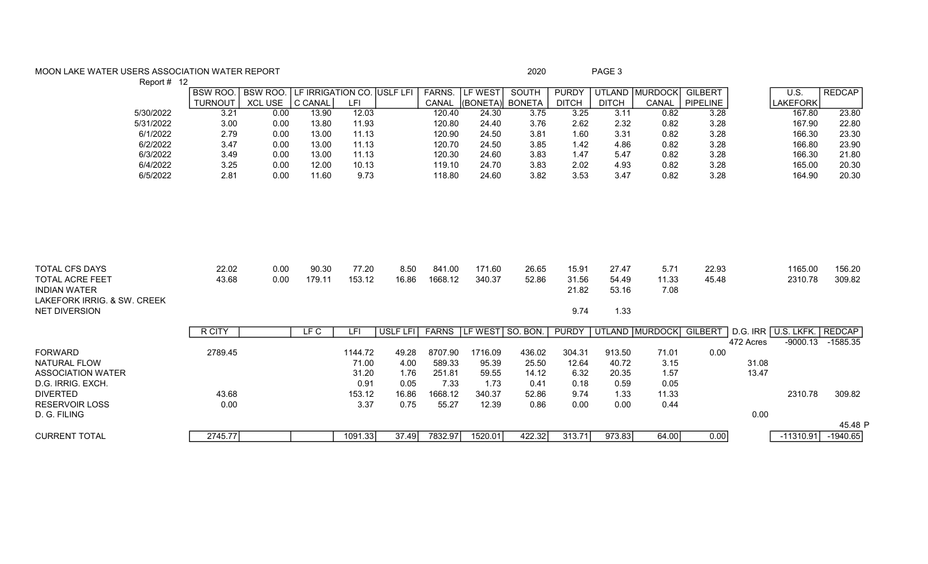## MOON LAKE WATER USERS ASSOCIATION WATER REPORT **And Contain the Container and Container** 2020 **PAGE 3**

|                             | Report # 12 |                |                 |                                   |         |          |              |                 |               |              |              |                |                |           |                     |               |
|-----------------------------|-------------|----------------|-----------------|-----------------------------------|---------|----------|--------------|-----------------|---------------|--------------|--------------|----------------|----------------|-----------|---------------------|---------------|
|                             |             | <b>BSW ROO</b> | <b>BSW ROO.</b> | <b>LF IRRIGATION CO. USLF LFI</b> |         |          | FARNS.       | LF WEST         | <b>SOUTH</b>  | <b>PURDY</b> |              | UTLAND MURDOCK | <b>GILBERT</b> |           | U.S.                | <b>REDCAP</b> |
|                             |             | <b>TURNOUT</b> | <b>XCL USE</b>  | C CANAL                           | LFI     |          | CANAL        | (BONETA)        | <b>BONETA</b> | <b>DITCH</b> | <b>DITCH</b> | CANAL          | PIPELINE       |           | <b>LAKEFORK</b>     |               |
|                             | 5/30/2022   | 3.21           | 0.00            | 13.90                             | 12.03   |          | 120.40       | 24.30           | 3.75          | 3.25         | 3.11         | 0.82           | 3.28           |           | 167.80              | 23.80         |
|                             | 5/31/2022   | 3.00           | 0.00            | 13.80                             | 11.93   |          | 120.80       | 24.40           | 3.76          | 2.62         | 2.32         | 0.82           | 3.28           |           | 167.90              | 22.80         |
|                             | 6/1/2022    | 2.79           | 0.00            | 13.00                             | 11.13   |          | 120.90       | 24.50           | 3.81          | 1.60         | 3.31         | 0.82           | 3.28           |           | 166.30              | 23.30         |
|                             | 6/2/2022    | 3.47           | 0.00            | 13.00                             | 11.13   |          | 120.70       | 24.50           | 3.85          | 1.42         | 4.86         | 0.82           | 3.28           |           | 166.80              | 23.90         |
|                             | 6/3/2022    | 3.49           | 0.00            | 13.00                             | 11.13   |          | 120.30       | 24.60           | 3.83          | 1.47         | 5.47         | 0.82           | 3.28           |           | 166.30              | 21.80         |
|                             | 6/4/2022    | 3.25           | 0.00            | 12.00                             | 10.13   |          | 119.10       | 24.70           | 3.83          | 2.02         | 4.93         | 0.82           | 3.28           |           | 165.00              | 20.30         |
|                             | 6/5/2022    | 2.81           | 0.00            | 11.60                             | 9.73    |          | 118.80       | 24.60           | 3.82          | 3.53         | 3.47         | 0.82           | 3.28           |           | 164.90              | 20.30         |
|                             |             |                |                 |                                   |         |          |              |                 |               |              |              |                |                |           |                     |               |
|                             |             |                |                 |                                   |         |          |              |                 |               |              |              |                |                |           |                     |               |
| <b>TOTAL CFS DAYS</b>       |             | 22.02          | 0.00            | 90.30                             | 77.20   | 8.50     | 841.00       | 171.60          | 26.65         | 15.91        | 27.47        | 5.71           | 22.93          |           | 1165.00             | 156.20        |
| <b>TOTAL ACRE FEET</b>      |             | 43.68          | 0.00            | 179.11                            | 153.12  | 16.86    | 1668.12      | 340.37          | 52.86         | 31.56        | 54.49        | 11.33          | 45.48          |           | 2310.78             | 309.82        |
| <b>INDIAN WATER</b>         |             |                |                 |                                   |         |          |              |                 |               | 21.82        | 53.16        | 7.08           |                |           |                     |               |
| LAKEFORK IRRIG, & SW. CREEK |             |                |                 |                                   |         |          |              |                 |               |              |              |                |                |           |                     |               |
| <b>NET DIVERSION</b>        |             |                |                 |                                   |         |          |              |                 |               | 9.74         | 1.33         |                |                |           |                     |               |
|                             |             | R CITY         |                 | LFC                               | LFI     | USLF LFI | <b>FARNS</b> | LF WEST SO. BON |               | <b>PURDY</b> |              | UTLAND MURDOCK | <b>GILBERT</b> |           | D.G. IRR U.S. LKFK. | <b>REDCAP</b> |
|                             |             |                |                 |                                   |         |          |              |                 |               |              |              |                |                | 472 Acres | $-9000.13$          | -1585.35      |
| <b>FORWARD</b>              |             | 2789.45        |                 |                                   | 1144.72 | 49.28    | 8707.90      | 1716.09         | 436.02        | 304.31       | 913.50       | 71.01          | 0.00           |           |                     |               |
| <b>NATURAL FLOW</b>         |             |                |                 |                                   | 71.00   | 4.00     | 589.33       | 95.39           | 25.50         | 12.64        | 40.72        | 3.15           |                | 31.08     |                     |               |
| <b>ASSOCIATION WATER</b>    |             |                |                 |                                   | 31.20   | 1.76     | 251.81       | 59.55           | 14.12         | 6.32         | 20.35        | 1.57           |                | 13.47     |                     |               |
| D.G. IRRIG. EXCH.           |             |                |                 |                                   | 0.91    |          | 7.33         |                 |               | 0.18         | 0.59         | 0.05           |                |           |                     |               |
| <b>DIVERTED</b>             |             | 43.68          |                 |                                   |         | 0.05     | 1668.12      | 1.73            | 0.41<br>52.86 | 9.74         | 1.33         |                |                |           | 2310.78             | 309.82        |
|                             |             |                |                 |                                   | 153.12  | 16.86    |              | 340.37          |               |              |              | 11.33          |                |           |                     |               |
| <b>RESERVOIR LOSS</b>       |             | 0.00           |                 |                                   | 3.37    | 0.75     | 55.27        | 12.39           | 0.86          | 0.00         | 0.00         | 0.44           |                |           |                     |               |
| D. G. FILING                |             |                |                 |                                   |         |          |              |                 |               |              |              |                |                | 0.00      |                     |               |
|                             |             |                |                 |                                   |         |          |              |                 |               |              |              |                |                |           |                     | 45.48 P       |
| <b>CURRENT TOTAL</b>        |             | 2745.77        |                 |                                   | 1091.33 | 37.49    | 7832.97      | 1520.01         | 422.32        | 313.71       | 973.83       | 64.00          | 0.00           |           | $-11310.91$         | $-1940.65$    |